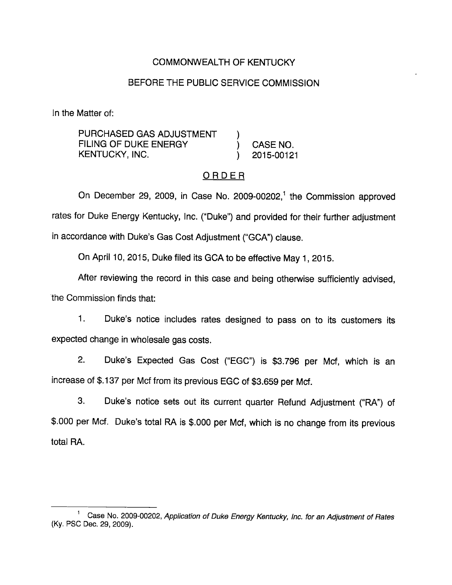# COMMONWEALTH OF KENTUCKY

#### BEFORE THE PUBLIC SERVICE COMMISSION

In the Matter of:

PURCHASED GAS ADJUSTMENT FILING OF DUKE ENERGY (CASE NO. KENTUCKY, INC. (2015-00121

### ORDER

On December 29, 2009, in Case No. 2009-00202, $<sup>1</sup>$  the Commission approved</sup> rates for Duke Energy Kentucky, Inc. ("Duke") and provided for their further adjustment in accordance with Duke's Gas Cost Adjustment ("GCA") clause.

On April 10, 2015, Duke filed its GCA to be effective May 1, 2015.

After reviewing the record in this case and being otherwise sufficiently advised, the Commission finds that:

1. Duke's notice includes rates designed to pass on to its customers its expected change in whoiesale gas costs.

2. Duke's Expected Gas Cost ("EGC") is \$3,796 per Mcf, which is an increase of \$.137 per Mcf from its previous EGC of \$3.659 per Mcf.

3. Duke's notice sets out its current quarter Refund Adjustment ("RA") of \$.000 per Mcf. Duke's total RA is \$.000 per Mcf, which is no change from its previous total RA.

Case No. 2009-00202, Application of Duke Energy Kentucky, Inc. for an Adjustment of Rates (Ky. PSC Dec. 29, 2009).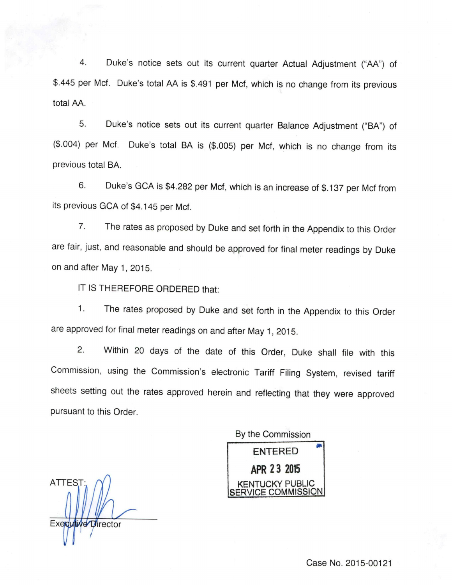4. Duke's notice sets out its current quarter Actual Adjustment ("AA") of \$.445 per Met. Duke's total AA is \$.491 per Met, which is no change from its previous total AA.

5. Duke's notice sets out its current quarter Balance Adjustment ("BA") of (\$.004) per Mcf. Duke's total BA is (\$.005) per Mcf, which is no change from its previous total BA.

6. Duke's GCA is \$4,282 per Mcf, which is an increase of \$.137 per Mcf from its previous GCA of \$4,145 per Mcf.

7. The rates as proposed by Duke and set forth in the Appendix to this Order are fair, just, and reasonable and should be approved for final meter readings by Duke on and after May 1, 2015.

IT IS THEREFORE ORDERED that:

1. The rates proposed by Duke and set forth in the Appendix to this Order are approved for final meter readings on and after May 1, 2015.

2. Within 20 days of the date of this Order, Duke shall file with this Commission, using the Commission's electronic Tariff Filing System, revised tariff sheets setting out the rates approved herein and reflecting that they were approved pursuant to this Order.

By the Commission **ENTERED** APR 23 2015 COMMISSION

ATTEST:,  $\bigwedge$  / KENTUCKY PUBLIC Executive Director

Case No. 2015-00121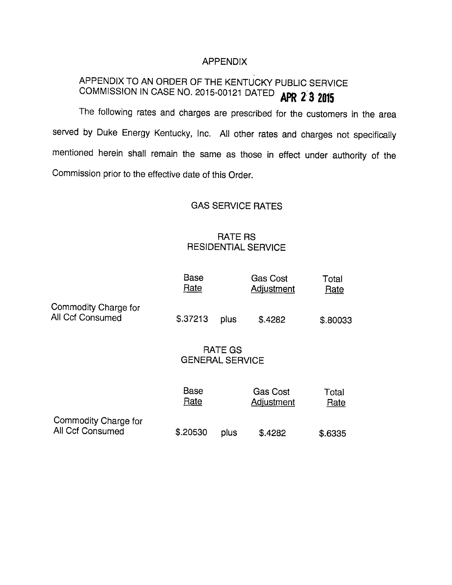#### APPENDIX

# APPENDIX TO AN ORDER OF THE KENTUCKY PUBLIC SERVICE COMMISSION IN CASE NO. 2015-00121 DATED APR 2 3 2015

The following rates and charges are prescribed for the customers in the area served by Duke Energy Kentucky, Inc. All other rates and charges not specifically mentioned herein shall remain the same as those in effect under authority of the Commission prior to the effective date of this Order.

### GAS SERVICE RATES

# RATE RS RESIDENTIAL SERVICE

|                                          | <b>Base</b><br>Rate    |                | Gas Cost<br>Adjustment               | Total<br>Rate |
|------------------------------------------|------------------------|----------------|--------------------------------------|---------------|
| Commodity Charge for<br>All Ccf Consumed | \$.37213               | plus           | \$.4282                              | \$.80033      |
|                                          | <b>GENERAL SERVICE</b> | <b>RATE GS</b> |                                      |               |
|                                          | Base<br>Rate           |                | <b>Gas Cost</b><br><b>Adjustment</b> | Total<br>Rate |
| Commodity Charge for<br>All Ccf Consumed | \$.20530               | plus           | \$.4282                              | \$.6335       |